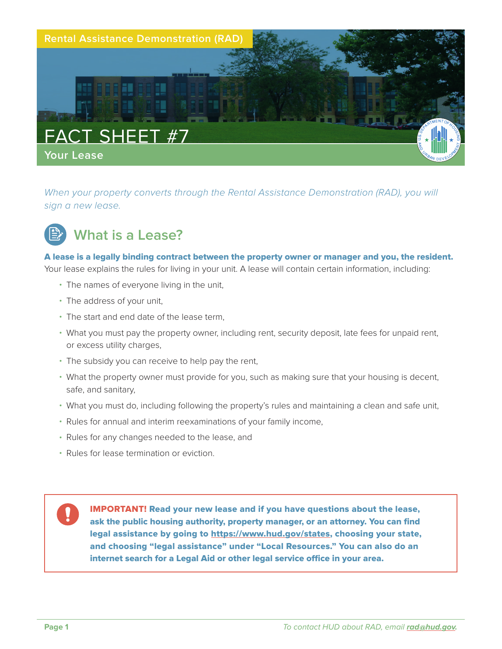

*When your property converts through the Rental Assistance Demonstration (RAD), you will sign a new lease.* 



## **What is a Lease?**

#### A lease is a legally binding contract between the property owner or manager and you, the resident.

Your lease explains the rules for living in your unit. A lease will contain certain information, including:

- The names of everyone living in the unit,
- The address of your unit,
- The start and end date of the lease term,
- What you must pay the property owner, including rent, security deposit, late fees for unpaid rent, or excess utility charges,
- The subsidy you can receive to help pay the rent,
- What the property owner must provide for you, such as making sure that your housing is decent, safe, and sanitary,
- What you must do, including following the property's rules and maintaining a clean and safe unit,
- Rules for annual and interim reexaminations of your family income,
- Rules for any changes needed to the lease, and
- Rules for lease termination or eviction.

IMPORTANT! Read your new lease and if you have questions about the lease, ask the public housing authority, property manager, or an attorney. You can find legal assistance by going to [https://www.hud.gov/states,](https://www.hud.gov/states) choosing your state, and choosing "legal assistance" under "Local Resources." You can also do an internet search for a Legal Aid or other legal service office in your area.